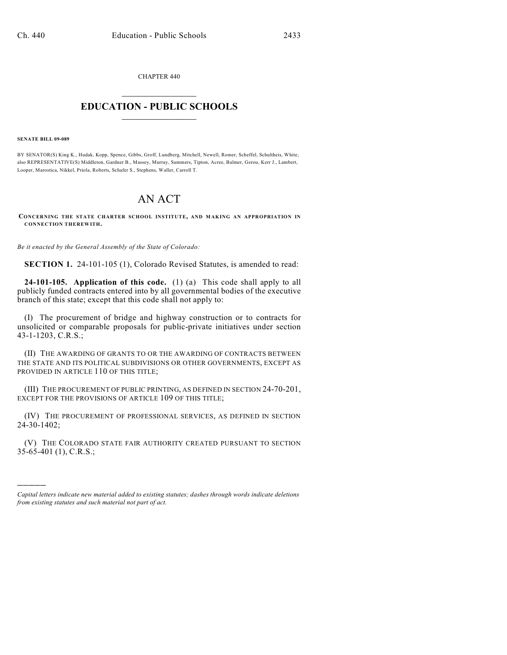CHAPTER 440  $\overline{\phantom{a}}$  . The set of the set of the set of the set of the set of the set of the set of the set of the set of the set of the set of the set of the set of the set of the set of the set of the set of the set of the set o

## **EDUCATION - PUBLIC SCHOOLS**  $\_$   $\_$   $\_$   $\_$   $\_$   $\_$   $\_$   $\_$   $\_$

## **SENATE BILL 09-089**

)))))

BY SENATOR(S) King K., Hudak, Kopp, Spence, Gibbs, Groff, Lundberg, Mitchell, Newell, Romer, Scheffel, Schultheis, White; also REPRESENTATIVE(S) Middleton, Gardner B., Massey, Murray, Summers, Tipton, Acree, Balmer, Gerou, Kerr J., Lambert, Looper, Marostica, Nikkel, Priola, Roberts, Schafer S., Stephens, Waller, Carroll T.

## AN ACT

**CONCERNING THE STATE CHARTER SCHOOL INSTITUTE, AND MAKING AN APPROPRIATION IN CONNECTION THEREWITH.**

*Be it enacted by the General Assembly of the State of Colorado:*

**SECTION 1.** 24-101-105 (1), Colorado Revised Statutes, is amended to read:

**24-101-105. Application of this code.** (1) (a) This code shall apply to all publicly funded contracts entered into by all governmental bodies of the executive branch of this state; except that this code shall not apply to:

(I) The procurement of bridge and highway construction or to contracts for unsolicited or comparable proposals for public-private initiatives under section 43-1-1203, C.R.S.;

(II) THE AWARDING OF GRANTS TO OR THE AWARDING OF CONTRACTS BETWEEN THE STATE AND ITS POLITICAL SUBDIVISIONS OR OTHER GOVERNMENTS, EXCEPT AS PROVIDED IN ARTICLE 110 OF THIS TITLE:

(III) THE PROCUREMENT OF PUBLIC PRINTING, AS DEFINED IN SECTION 24-70-201, EXCEPT FOR THE PROVISIONS OF ARTICLE 109 OF THIS TITLE;

(IV) THE PROCUREMENT OF PROFESSIONAL SERVICES, AS DEFINED IN SECTION  $24 - 30 - 1402$ ;

(V) THE COLORADO STATE FAIR AUTHORITY CREATED PURSUANT TO SECTION 35-65-401 (1), C.R.S.;

*Capital letters indicate new material added to existing statutes; dashes through words indicate deletions from existing statutes and such material not part of act.*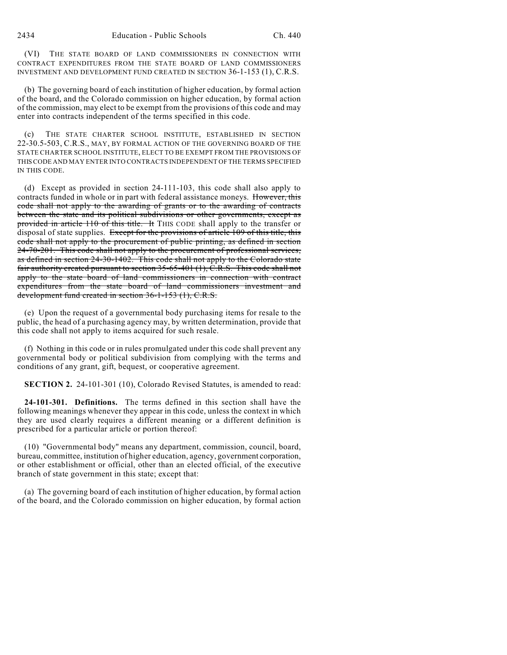(VI) THE STATE BOARD OF LAND COMMISSIONERS IN CONNECTION WITH CONTRACT EXPENDITURES FROM THE STATE BOARD OF LAND COMMISSIONERS INVESTMENT AND DEVELOPMENT FUND CREATED IN SECTION 36-1-153 (1), C.R.S.

(b) The governing board of each institution of higher education, by formal action of the board, and the Colorado commission on higher education, by formal action of the commission, may elect to be exempt from the provisions of this code and may enter into contracts independent of the terms specified in this code.

(c) THE STATE CHARTER SCHOOL INSTITUTE, ESTABLISHED IN SECTION 22-30.5-503, C.R.S., MAY, BY FORMAL ACTION OF THE GOVERNING BOARD OF THE STATE CHARTER SCHOOL INSTITUTE, ELECT TO BE EXEMPT FROM THE PROVISIONS OF THIS CODE AND MAY ENTER INTO CONTRACTS INDEPENDENT OF THE TERMS SPECIFIED IN THIS CODE.

(d) Except as provided in section 24-111-103, this code shall also apply to contracts funded in whole or in part with federal assistance moneys. However, this code shall not apply to the awarding of grants or to the awarding of contracts between the state and its political subdivisions or other governments, except as provided in article 110 of this title. It THIS CODE shall apply to the transfer or disposal of state supplies. Except for the provisions of article 109 of this title, this code shall not apply to the procurement of public printing, as defined in section 24-70-201. This code shall not apply to the procurement of professional services, as defined in section 24-30-1402. This code shall not apply to the Colorado state fair authority created pursuant to section 35-65-401 (1), C.R.S. This code shall not apply to the state board of land commissioners in connection with contract expenditures from the state board of land commissioners investment and development fund created in section 36-1-153 (1), C.R.S.

(e) Upon the request of a governmental body purchasing items for resale to the public, the head of a purchasing agency may, by written determination, provide that this code shall not apply to items acquired for such resale.

(f) Nothing in this code or in rules promulgated under this code shall prevent any governmental body or political subdivision from complying with the terms and conditions of any grant, gift, bequest, or cooperative agreement.

**SECTION 2.** 24-101-301 (10), Colorado Revised Statutes, is amended to read:

**24-101-301. Definitions.** The terms defined in this section shall have the following meanings whenever they appear in this code, unless the context in which they are used clearly requires a different meaning or a different definition is prescribed for a particular article or portion thereof:

(10) "Governmental body" means any department, commission, council, board, bureau, committee, institution of higher education, agency, government corporation, or other establishment or official, other than an elected official, of the executive branch of state government in this state; except that:

(a) The governing board of each institution of higher education, by formal action of the board, and the Colorado commission on higher education, by formal action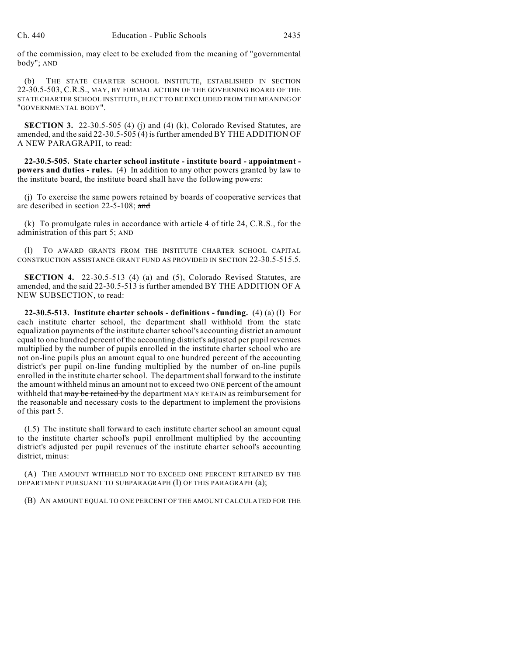of the commission, may elect to be excluded from the meaning of "governmental body"; AND

(b) THE STATE CHARTER SCHOOL INSTITUTE, ESTABLISHED IN SECTION 22-30.5-503, C.R.S., MAY, BY FORMAL ACTION OF THE GOVERNING BOARD OF THE STATE CHARTER SCHOOL INSTITUTE, ELECT TO BE EXCLUDED FROM THE MEANING OF "GOVERNMENTAL BODY".

**SECTION 3.** 22-30.5-505 (4) (j) and (4) (k), Colorado Revised Statutes, are amended, and the said 22-30.5-505 (4) is further amended BY THE ADDITION OF A NEW PARAGRAPH, to read:

**22-30.5-505. State charter school institute - institute board - appointment powers and duties - rules.** (4) In addition to any other powers granted by law to the institute board, the institute board shall have the following powers:

(j) To exercise the same powers retained by boards of cooperative services that are described in section 22-5-108; and

(k) To promulgate rules in accordance with article 4 of title 24, C.R.S., for the administration of this part 5; AND

(l) TO AWARD GRANTS FROM THE INSTITUTE CHARTER SCHOOL CAPITAL CONSTRUCTION ASSISTANCE GRANT FUND AS PROVIDED IN SECTION 22-30.5-515.5.

**SECTION 4.** 22-30.5-513 (4) (a) and (5), Colorado Revised Statutes, are amended, and the said 22-30.5-513 is further amended BY THE ADDITION OF A NEW SUBSECTION, to read:

**22-30.5-513. Institute charter schools - definitions - funding.** (4) (a) (I) For each institute charter school, the department shall withhold from the state equalization payments of the institute charter school's accounting district an amount equal to one hundred percent of the accounting district's adjusted per pupil revenues multiplied by the number of pupils enrolled in the institute charter school who are not on-line pupils plus an amount equal to one hundred percent of the accounting district's per pupil on-line funding multiplied by the number of on-line pupils enrolled in the institute charter school. The department shall forward to the institute the amount withheld minus an amount not to exceed two ONE percent of the amount withheld that may be retained by the department MAY RETAIN as reimbursement for the reasonable and necessary costs to the department to implement the provisions of this part 5.

(I.5) The institute shall forward to each institute charter school an amount equal to the institute charter school's pupil enrollment multiplied by the accounting district's adjusted per pupil revenues of the institute charter school's accounting district, minus:

(A) THE AMOUNT WITHHELD NOT TO EXCEED ONE PERCENT RETAINED BY THE DEPARTMENT PURSUANT TO SUBPARAGRAPH (I) OF THIS PARAGRAPH (a);

(B) AN AMOUNT EQUAL TO ONE PERCENT OF THE AMOUNT CALCULATED FOR THE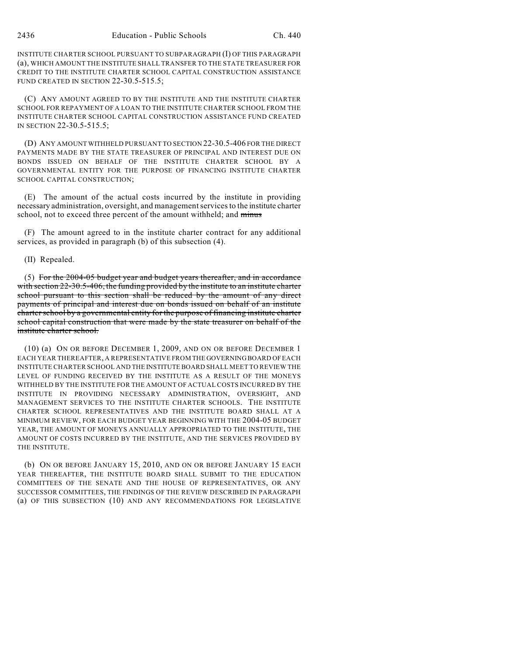INSTITUTE CHARTER SCHOOL PURSUANT TO SUBPARAGRAPH (I) OF THIS PARAGRAPH (a), WHICH AMOUNT THE INSTITUTE SHALL TRANSFER TO THE STATE TREASURER FOR CREDIT TO THE INSTITUTE CHARTER SCHOOL CAPITAL CONSTRUCTION ASSISTANCE FUND CREATED IN SECTION 22-30.5-515.5;

(C) ANY AMOUNT AGREED TO BY THE INSTITUTE AND THE INSTITUTE CHARTER SCHOOL FOR REPAYMENT OF A LOAN TO THE INSTITUTE CHARTER SCHOOL FROM THE INSTITUTE CHARTER SCHOOL CAPITAL CONSTRUCTION ASSISTANCE FUND CREATED IN SECTION 22-30.5-515.5;

(D) ANY AMOUNT WITHHELD PURSUANT TO SECTION 22-30.5-406 FOR THE DIRECT PAYMENTS MADE BY THE STATE TREASURER OF PRINCIPAL AND INTEREST DUE ON BONDS ISSUED ON BEHALF OF THE INSTITUTE CHARTER SCHOOL BY A GOVERNMENTAL ENTITY FOR THE PURPOSE OF FINANCING INSTITUTE CHARTER SCHOOL CAPITAL CONSTRUCTION;

(E) The amount of the actual costs incurred by the institute in providing necessary administration, oversight, and management services to the institute charter school, not to exceed three percent of the amount withheld; and minus

(F) The amount agreed to in the institute charter contract for any additional services, as provided in paragraph (b) of this subsection (4).

(II) Repealed.

(5) For the 2004-05 budget year and budget years thereafter, and in accordance with section 22-30.5-406, the funding provided by the institute to an institute charter school pursuant to this section shall be reduced by the amount of any direct payments of principal and interest due on bonds issued on behalf of an institute charter school by a governmental entity for the purpose of financing institute charter school capital construction that were made by the state treasurer on behalf of the institute charter school.

(10) (a) ON OR BEFORE DECEMBER 1, 2009, AND ON OR BEFORE DECEMBER 1 EACH YEAR THEREAFTER, A REPRESENTATIVE FROM THE GOVERNING BOARD OF EACH INSTITUTE CHARTER SCHOOL AND THE INSTITUTE BOARD SHALL MEET TO REVIEW THE LEVEL OF FUNDING RECEIVED BY THE INSTITUTE AS A RESULT OF THE MONEYS WITHHELD BY THE INSTITUTE FOR THE AMOUNT OF ACTUAL COSTS INCURRED BY THE INSTITUTE IN PROVIDING NECESSARY ADMINISTRATION, OVERSIGHT, AND MANAGEMENT SERVICES TO THE INSTITUTE CHARTER SCHOOLS. THE INSTITUTE CHARTER SCHOOL REPRESENTATIVES AND THE INSTITUTE BOARD SHALL AT A MINIMUM REVIEW, FOR EACH BUDGET YEAR BEGINNING WITH THE 2004-05 BUDGET YEAR, THE AMOUNT OF MONEYS ANNUALLY APPROPRIATED TO THE INSTITUTE, THE AMOUNT OF COSTS INCURRED BY THE INSTITUTE, AND THE SERVICES PROVIDED BY THE INSTITUTE.

(b) ON OR BEFORE JANUARY 15, 2010, AND ON OR BEFORE JANUARY 15 EACH YEAR THEREAFTER, THE INSTITUTE BOARD SHALL SUBMIT TO THE EDUCATION COMMITTEES OF THE SENATE AND THE HOUSE OF REPRESENTATIVES, OR ANY SUCCESSOR COMMITTEES, THE FINDINGS OF THE REVIEW DESCRIBED IN PARAGRAPH (a) OF THIS SUBSECTION (10) AND ANY RECOMMENDATIONS FOR LEGISLATIVE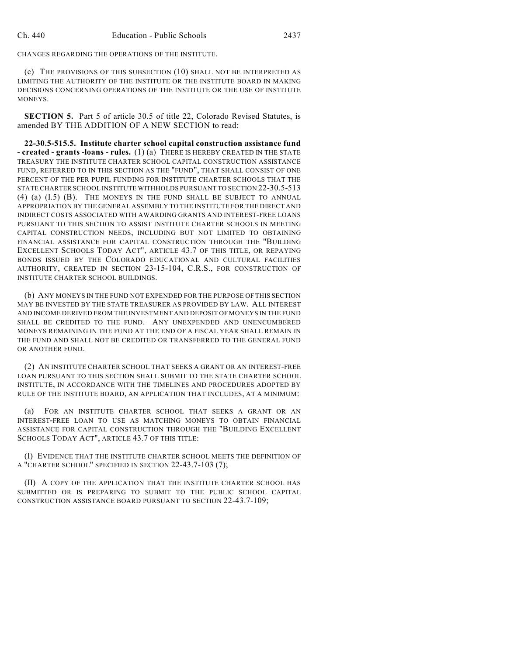CHANGES REGARDING THE OPERATIONS OF THE INSTITUTE.

(c) THE PROVISIONS OF THIS SUBSECTION (10) SHALL NOT BE INTERPRETED AS LIMITING THE AUTHORITY OF THE INSTITUTE OR THE INSTITUTE BOARD IN MAKING DECISIONS CONCERNING OPERATIONS OF THE INSTITUTE OR THE USE OF INSTITUTE MONEYS.

**SECTION 5.** Part 5 of article 30.5 of title 22, Colorado Revised Statutes, is amended BY THE ADDITION OF A NEW SECTION to read:

**22-30.5-515.5. Institute charter school capital construction assistance fund - created - grants -loans - rules.** (1) (a) THERE IS HEREBY CREATED IN THE STATE TREASURY THE INSTITUTE CHARTER SCHOOL CAPITAL CONSTRUCTION ASSISTANCE FUND, REFERRED TO IN THIS SECTION AS THE "FUND", THAT SHALL CONSIST OF ONE PERCENT OF THE PER PUPIL FUNDING FOR INSTITUTE CHARTER SCHOOLS THAT THE STATE CHARTER SCHOOL INSTITUTE WITHHOLDS PURSUANT TO SECTION 22-30.5-513 (4) (a) (I.5) (B). THE MONEYS IN THE FUND SHALL BE SUBJECT TO ANNUAL APPROPRIATION BY THE GENERAL ASSEMBLY TO THE INSTITUTE FOR THE DIRECT AND INDIRECT COSTS ASSOCIATED WITH AWARDING GRANTS AND INTEREST-FREE LOANS PURSUANT TO THIS SECTION TO ASSIST INSTITUTE CHARTER SCHOOLS IN MEETING CAPITAL CONSTRUCTION NEEDS, INCLUDING BUT NOT LIMITED TO OBTAINING FINANCIAL ASSISTANCE FOR CAPITAL CONSTRUCTION THROUGH THE "BUILDING EXCELLENT SCHOOLS TODAY ACT", ARTICLE 43.7 OF THIS TITLE, OR REPAYING BONDS ISSUED BY THE COLORADO EDUCATIONAL AND CULTURAL FACILITIES AUTHORITY, CREATED IN SECTION 23-15-104, C.R.S., FOR CONSTRUCTION OF INSTITUTE CHARTER SCHOOL BUILDINGS.

(b) ANY MONEYS IN THE FUND NOT EXPENDED FOR THE PURPOSE OF THIS SECTION MAY BE INVESTED BY THE STATE TREASURER AS PROVIDED BY LAW. ALL INTEREST AND INCOME DERIVED FROM THE INVESTMENT AND DEPOSIT OF MONEYS IN THE FUND SHALL BE CREDITED TO THE FUND. ANY UNEXPENDED AND UNENCUMBERED MONEYS REMAINING IN THE FUND AT THE END OF A FISCAL YEAR SHALL REMAIN IN THE FUND AND SHALL NOT BE CREDITED OR TRANSFERRED TO THE GENERAL FUND OR ANOTHER FUND.

(2) AN INSTITUTE CHARTER SCHOOL THAT SEEKS A GRANT OR AN INTEREST-FREE LOAN PURSUANT TO THIS SECTION SHALL SUBMIT TO THE STATE CHARTER SCHOOL INSTITUTE, IN ACCORDANCE WITH THE TIMELINES AND PROCEDURES ADOPTED BY RULE OF THE INSTITUTE BOARD, AN APPLICATION THAT INCLUDES, AT A MINIMUM:

(a) FOR AN INSTITUTE CHARTER SCHOOL THAT SEEKS A GRANT OR AN INTEREST-FREE LOAN TO USE AS MATCHING MONEYS TO OBTAIN FINANCIAL ASSISTANCE FOR CAPITAL CONSTRUCTION THROUGH THE "BUILDING EXCELLENT SCHOOLS TODAY ACT", ARTICLE 43.7 OF THIS TITLE:

(I) EVIDENCE THAT THE INSTITUTE CHARTER SCHOOL MEETS THE DEFINITION OF A "CHARTER SCHOOL" SPECIFIED IN SECTION 22-43.7-103 (7);

(II) A COPY OF THE APPLICATION THAT THE INSTITUTE CHARTER SCHOOL HAS SUBMITTED OR IS PREPARING TO SUBMIT TO THE PUBLIC SCHOOL CAPITAL CONSTRUCTION ASSISTANCE BOARD PURSUANT TO SECTION 22-43.7-109;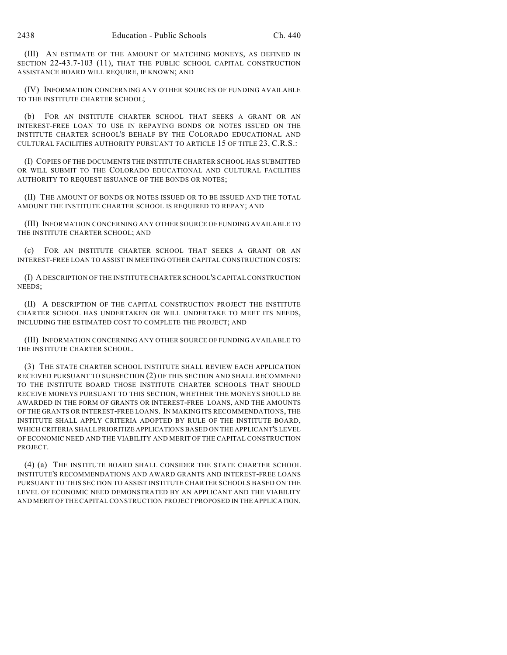(III) AN ESTIMATE OF THE AMOUNT OF MATCHING MONEYS, AS DEFINED IN SECTION 22-43.7-103 (11), THAT THE PUBLIC SCHOOL CAPITAL CONSTRUCTION ASSISTANCE BOARD WILL REQUIRE, IF KNOWN; AND

(IV) INFORMATION CONCERNING ANY OTHER SOURCES OF FUNDING AVAILABLE TO THE INSTITUTE CHARTER SCHOOL;

(b) FOR AN INSTITUTE CHARTER SCHOOL THAT SEEKS A GRANT OR AN INTEREST-FREE LOAN TO USE IN REPAYING BONDS OR NOTES ISSUED ON THE INSTITUTE CHARTER SCHOOL'S BEHALF BY THE COLORADO EDUCATIONAL AND CULTURAL FACILITIES AUTHORITY PURSUANT TO ARTICLE 15 OF TITLE 23, C.R.S.:

(I) COPIES OF THE DOCUMENTS THE INSTITUTE CHARTER SCHOOL HAS SUBMITTED OR WILL SUBMIT TO THE COLORADO EDUCATIONAL AND CULTURAL FACILITIES AUTHORITY TO REQUEST ISSUANCE OF THE BONDS OR NOTES;

(II) THE AMOUNT OF BONDS OR NOTES ISSUED OR TO BE ISSUED AND THE TOTAL AMOUNT THE INSTITUTE CHARTER SCHOOL IS REQUIRED TO REPAY; AND

(III) INFORMATION CONCERNING ANY OTHER SOURCE OF FUNDING AVAILABLE TO THE INSTITUTE CHARTER SCHOOL; AND

(c) FOR AN INSTITUTE CHARTER SCHOOL THAT SEEKS A GRANT OR AN INTEREST-FREE LOAN TO ASSIST IN MEETING OTHER CAPITAL CONSTRUCTION COSTS:

(I) A DESCRIPTION OF THE INSTITUTE CHARTER SCHOOL'S CAPITAL CONSTRUCTION NEEDS;

(II) A DESCRIPTION OF THE CAPITAL CONSTRUCTION PROJECT THE INSTITUTE CHARTER SCHOOL HAS UNDERTAKEN OR WILL UNDERTAKE TO MEET ITS NEEDS, INCLUDING THE ESTIMATED COST TO COMPLETE THE PROJECT; AND

(III) INFORMATION CONCERNING ANY OTHER SOURCE OF FUNDING AVAILABLE TO THE INSTITUTE CHARTER SCHOOL.

(3) THE STATE CHARTER SCHOOL INSTITUTE SHALL REVIEW EACH APPLICATION RECEIVED PURSUANT TO SUBSECTION (2) OF THIS SECTION AND SHALL RECOMMEND TO THE INSTITUTE BOARD THOSE INSTITUTE CHARTER SCHOOLS THAT SHOULD RECEIVE MONEYS PURSUANT TO THIS SECTION, WHETHER THE MONEYS SHOULD BE AWARDED IN THE FORM OF GRANTS OR INTEREST-FREE LOANS, AND THE AMOUNTS OF THE GRANTS OR INTEREST-FREE LOANS. IN MAKING ITS RECOMMENDATIONS, THE INSTITUTE SHALL APPLY CRITERIA ADOPTED BY RULE OF THE INSTITUTE BOARD, WHICH CRITERIA SHALL PRIORITIZE APPLICATIONS BASED ON THE APPLICANT'S LEVEL OF ECONOMIC NEED AND THE VIABILITY AND MERIT OF THE CAPITAL CONSTRUCTION PROJECT.

(4) (a) THE INSTITUTE BOARD SHALL CONSIDER THE STATE CHARTER SCHOOL INSTITUTE'S RECOMMENDATIONS AND AWARD GRANTS AND INTEREST-FREE LOANS PURSUANT TO THIS SECTION TO ASSIST INSTITUTE CHARTER SCHOOLS BASED ON THE LEVEL OF ECONOMIC NEED DEMONSTRATED BY AN APPLICANT AND THE VIABILITY AND MERIT OF THE CAPITAL CONSTRUCTION PROJECT PROPOSED IN THE APPLICATION.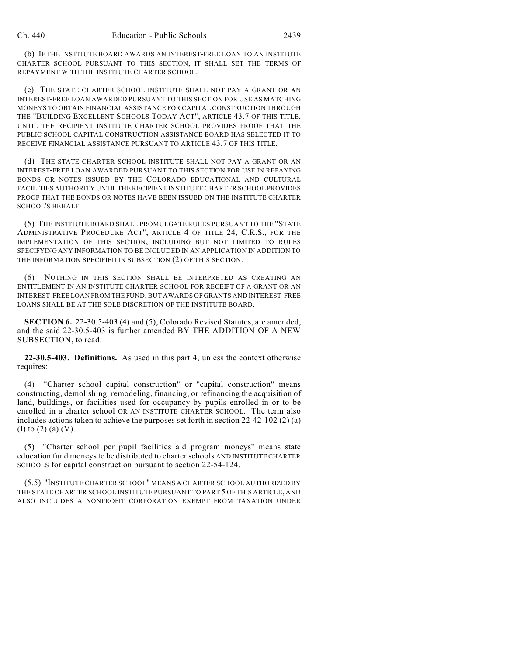(b) IF THE INSTITUTE BOARD AWARDS AN INTEREST-FREE LOAN TO AN INSTITUTE CHARTER SCHOOL PURSUANT TO THIS SECTION, IT SHALL SET THE TERMS OF REPAYMENT WITH THE INSTITUTE CHARTER SCHOOL.

(c) THE STATE CHARTER SCHOOL INSTITUTE SHALL NOT PAY A GRANT OR AN INTEREST-FREE LOAN AWARDED PURSUANT TO THIS SECTION FOR USE AS MATCHING MONEYS TO OBTAIN FINANCIAL ASSISTANCE FOR CAPITAL CONSTRUCTION THROUGH THE "BUILDING EXCELLENT SCHOOLS TODAY ACT", ARTICLE 43.7 OF THIS TITLE, UNTIL THE RECIPIENT INSTITUTE CHARTER SCHOOL PROVIDES PROOF THAT THE PUBLIC SCHOOL CAPITAL CONSTRUCTION ASSISTANCE BOARD HAS SELECTED IT TO RECEIVE FINANCIAL ASSISTANCE PURSUANT TO ARTICLE 43.7 OF THIS TITLE.

(d) THE STATE CHARTER SCHOOL INSTITUTE SHALL NOT PAY A GRANT OR AN INTEREST-FREE LOAN AWARDED PURSUANT TO THIS SECTION FOR USE IN REPAYING BONDS OR NOTES ISSUED BY THE COLORADO EDUCATIONAL AND CULTURAL FACILITIES AUTHORITY UNTIL THE RECIPIENT INSTITUTE CHARTER SCHOOL PROVIDES PROOF THAT THE BONDS OR NOTES HAVE BEEN ISSUED ON THE INSTITUTE CHARTER SCHOOL'S BEHALF.

(5) THE INSTITUTE BOARD SHALL PROMULGATE RULES PURSUANT TO THE "STATE ADMINISTRATIVE PROCEDURE ACT", ARTICLE 4 OF TITLE 24, C.R.S., FOR THE IMPLEMENTATION OF THIS SECTION, INCLUDING BUT NOT LIMITED TO RULES SPECIFYING ANY INFORMATION TO BE INCLUDED IN AN APPLICATION IN ADDITION TO THE INFORMATION SPECIFIED IN SUBSECTION (2) OF THIS SECTION.

(6) NOTHING IN THIS SECTION SHALL BE INTERPRETED AS CREATING AN ENTITLEMENT IN AN INSTITUTE CHARTER SCHOOL FOR RECEIPT OF A GRANT OR AN INTEREST-FREE LOAN FROM THE FUND, BUT AWARDS OF GRANTS AND INTEREST-FREE LOANS SHALL BE AT THE SOLE DISCRETION OF THE INSTITUTE BOARD.

**SECTION 6.** 22-30.5-403 (4) and (5), Colorado Revised Statutes, are amended, and the said 22-30.5-403 is further amended BY THE ADDITION OF A NEW SUBSECTION, to read:

**22-30.5-403. Definitions.** As used in this part 4, unless the context otherwise requires:

(4) "Charter school capital construction" or "capital construction" means constructing, demolishing, remodeling, financing, or refinancing the acquisition of land, buildings, or facilities used for occupancy by pupils enrolled in or to be enrolled in a charter school OR AN INSTITUTE CHARTER SCHOOL. The term also includes actions taken to achieve the purposes set forth in section  $22-42-102$  (2) (a) (I) to (2) (a) (V).

(5) "Charter school per pupil facilities aid program moneys" means state education fund moneys to be distributed to charter schools AND INSTITUTE CHARTER SCHOOLS for capital construction pursuant to section 22-54-124.

(5.5) "INSTITUTE CHARTER SCHOOL" MEANS A CHARTER SCHOOL AUTHORIZED BY THE STATE CHARTER SCHOOL INSTITUTE PURSUANT TO PART 5 OF THIS ARTICLE, AND ALSO INCLUDES A NONPROFIT CORPORATION EXEMPT FROM TAXATION UNDER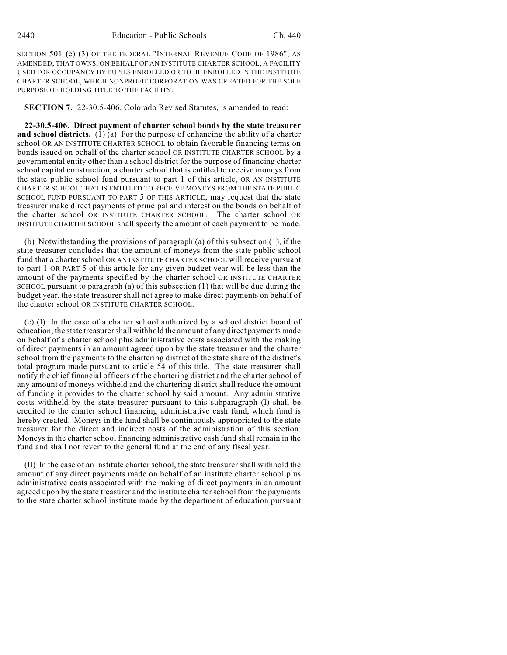SECTION 501 (c) (3) OF THE FEDERAL "INTERNAL REVENUE CODE OF 1986", AS AMENDED, THAT OWNS, ON BEHALF OF AN INSTITUTE CHARTER SCHOOL, A FACILITY USED FOR OCCUPANCY BY PUPILS ENROLLED OR TO BE ENROLLED IN THE INSTITUTE CHARTER SCHOOL, WHICH NONPROFIT CORPORATION WAS CREATED FOR THE SOLE PURPOSE OF HOLDING TITLE TO THE FACILITY.

**SECTION 7.** 22-30.5-406, Colorado Revised Statutes, is amended to read:

**22-30.5-406. Direct payment of charter school bonds by the state treasurer and school districts.** (1) (a) For the purpose of enhancing the ability of a charter school OR AN INSTITUTE CHARTER SCHOOL to obtain favorable financing terms on bonds issued on behalf of the charter school OR INSTITUTE CHARTER SCHOOL by a governmental entity other than a school district for the purpose of financing charter school capital construction, a charter school that is entitled to receive moneys from the state public school fund pursuant to part 1 of this article, OR AN INSTITUTE CHARTER SCHOOL THAT IS ENTITLED TO RECEIVE MONEYS FROM THE STATE PUBLIC SCHOOL FUND PURSUANT TO PART 5 OF THIS ARTICLE, may request that the state treasurer make direct payments of principal and interest on the bonds on behalf of the charter school OR INSTITUTE CHARTER SCHOOL. The charter school OR INSTITUTE CHARTER SCHOOL shall specify the amount of each payment to be made.

(b) Notwithstanding the provisions of paragraph (a) of this subsection (1), if the state treasurer concludes that the amount of moneys from the state public school fund that a charter school OR AN INSTITUTE CHARTER SCHOOL will receive pursuant to part 1 OR PART 5 of this article for any given budget year will be less than the amount of the payments specified by the charter school OR INSTITUTE CHARTER SCHOOL pursuant to paragraph (a) of this subsection (1) that will be due during the budget year, the state treasurer shall not agree to make direct payments on behalf of the charter school OR INSTITUTE CHARTER SCHOOL.

(c) (I) In the case of a charter school authorized by a school district board of education, the state treasurer shall withhold the amount of any direct payments made on behalf of a charter school plus administrative costs associated with the making of direct payments in an amount agreed upon by the state treasurer and the charter school from the payments to the chartering district of the state share of the district's total program made pursuant to article 54 of this title. The state treasurer shall notify the chief financial officers of the chartering district and the charter school of any amount of moneys withheld and the chartering district shall reduce the amount of funding it provides to the charter school by said amount. Any administrative costs withheld by the state treasurer pursuant to this subparagraph (I) shall be credited to the charter school financing administrative cash fund, which fund is hereby created. Moneys in the fund shall be continuously appropriated to the state treasurer for the direct and indirect costs of the administration of this section. Moneys in the charter school financing administrative cash fund shall remain in the fund and shall not revert to the general fund at the end of any fiscal year.

(II) In the case of an institute charter school, the state treasurer shall withhold the amount of any direct payments made on behalf of an institute charter school plus administrative costs associated with the making of direct payments in an amount agreed upon by the state treasurer and the institute charter school from the payments to the state charter school institute made by the department of education pursuant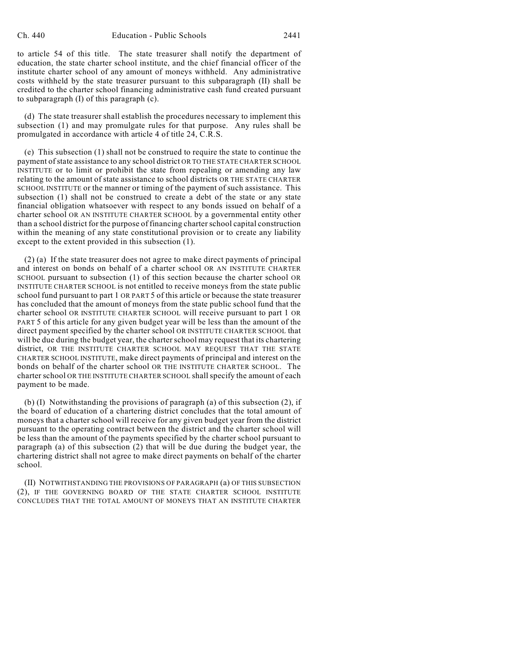to article 54 of this title. The state treasurer shall notify the department of education, the state charter school institute, and the chief financial officer of the institute charter school of any amount of moneys withheld. Any administrative costs withheld by the state treasurer pursuant to this subparagraph (II) shall be credited to the charter school financing administrative cash fund created pursuant to subparagraph (I) of this paragraph (c).

(d) The state treasurer shall establish the procedures necessary to implement this subsection (1) and may promulgate rules for that purpose. Any rules shall be promulgated in accordance with article 4 of title 24, C.R.S.

(e) This subsection (1) shall not be construed to require the state to continue the payment of state assistance to any school district OR TO THE STATE CHARTER SCHOOL INSTITUTE or to limit or prohibit the state from repealing or amending any law relating to the amount of state assistance to school districts OR THE STATE CHARTER SCHOOL INSTITUTE or the manner or timing of the payment of such assistance. This subsection (1) shall not be construed to create a debt of the state or any state financial obligation whatsoever with respect to any bonds issued on behalf of a charter school OR AN INSTITUTE CHARTER SCHOOL by a governmental entity other than a school district for the purpose of financing charter school capital construction within the meaning of any state constitutional provision or to create any liability except to the extent provided in this subsection (1).

(2) (a) If the state treasurer does not agree to make direct payments of principal and interest on bonds on behalf of a charter school OR AN INSTITUTE CHARTER SCHOOL pursuant to subsection (1) of this section because the charter school OR INSTITUTE CHARTER SCHOOL is not entitled to receive moneys from the state public school fund pursuant to part 1 OR PART 5 of this article or because the state treasurer has concluded that the amount of moneys from the state public school fund that the charter school OR INSTITUTE CHARTER SCHOOL will receive pursuant to part 1 OR PART 5 of this article for any given budget year will be less than the amount of the direct payment specified by the charter school OR INSTITUTE CHARTER SCHOOL that will be due during the budget year, the charter school may request that its chartering district, OR THE INSTITUTE CHARTER SCHOOL MAY REQUEST THAT THE STATE CHARTER SCHOOL INSTITUTE, make direct payments of principal and interest on the bonds on behalf of the charter school OR THE INSTITUTE CHARTER SCHOOL. The charter school OR THE INSTITUTE CHARTER SCHOOL shall specify the amount of each payment to be made.

(b) (I) Notwithstanding the provisions of paragraph (a) of this subsection (2), if the board of education of a chartering district concludes that the total amount of moneys that a charter school will receive for any given budget year from the district pursuant to the operating contract between the district and the charter school will be less than the amount of the payments specified by the charter school pursuant to paragraph (a) of this subsection (2) that will be due during the budget year, the chartering district shall not agree to make direct payments on behalf of the charter school.

(II) NOTWITHSTANDING THE PROVISIONS OF PARAGRAPH (a) OF THIS SUBSECTION (2), IF THE GOVERNING BOARD OF THE STATE CHARTER SCHOOL INSTITUTE CONCLUDES THAT THE TOTAL AMOUNT OF MONEYS THAT AN INSTITUTE CHARTER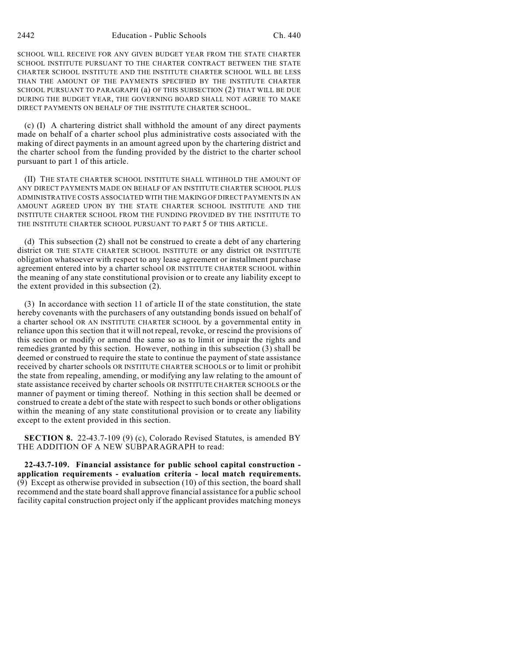SCHOOL WILL RECEIVE FOR ANY GIVEN BUDGET YEAR FROM THE STATE CHARTER SCHOOL INSTITUTE PURSUANT TO THE CHARTER CONTRACT BETWEEN THE STATE CHARTER SCHOOL INSTITUTE AND THE INSTITUTE CHARTER SCHOOL WILL BE LESS THAN THE AMOUNT OF THE PAYMENTS SPECIFIED BY THE INSTITUTE CHARTER SCHOOL PURSUANT TO PARAGRAPH (a) OF THIS SUBSECTION (2) THAT WILL BE DUE DURING THE BUDGET YEAR, THE GOVERNING BOARD SHALL NOT AGREE TO MAKE DIRECT PAYMENTS ON BEHALF OF THE INSTITUTE CHARTER SCHOOL.

(c) (I) A chartering district shall withhold the amount of any direct payments made on behalf of a charter school plus administrative costs associated with the making of direct payments in an amount agreed upon by the chartering district and the charter school from the funding provided by the district to the charter school pursuant to part 1 of this article.

(II) THE STATE CHARTER SCHOOL INSTITUTE SHALL WITHHOLD THE AMOUNT OF ANY DIRECT PAYMENTS MADE ON BEHALF OF AN INSTITUTE CHARTER SCHOOL PLUS ADMINISTRATIVE COSTS ASSOCIATED WITH THE MAKING OF DIRECT PAYMENTS IN AN AMOUNT AGREED UPON BY THE STATE CHARTER SCHOOL INSTITUTE AND THE INSTITUTE CHARTER SCHOOL FROM THE FUNDING PROVIDED BY THE INSTITUTE TO THE INSTITUTE CHARTER SCHOOL PURSUANT TO PART 5 OF THIS ARTICLE.

(d) This subsection (2) shall not be construed to create a debt of any chartering district OR THE STATE CHARTER SCHOOL INSTITUTE or any district OR INSTITUTE obligation whatsoever with respect to any lease agreement or installment purchase agreement entered into by a charter school OR INSTITUTE CHARTER SCHOOL within the meaning of any state constitutional provision or to create any liability except to the extent provided in this subsection (2).

(3) In accordance with section 11 of article II of the state constitution, the state hereby covenants with the purchasers of any outstanding bonds issued on behalf of a charter school OR AN INSTITUTE CHARTER SCHOOL by a governmental entity in reliance upon this section that it will not repeal, revoke, or rescind the provisions of this section or modify or amend the same so as to limit or impair the rights and remedies granted by this section. However, nothing in this subsection (3) shall be deemed or construed to require the state to continue the payment of state assistance received by charter schools OR INSTITUTE CHARTER SCHOOLS or to limit or prohibit the state from repealing, amending, or modifying any law relating to the amount of state assistance received by charter schools OR INSTITUTE CHARTER SCHOOLS or the manner of payment or timing thereof. Nothing in this section shall be deemed or construed to create a debt of the state with respect to such bonds or other obligations within the meaning of any state constitutional provision or to create any liability except to the extent provided in this section.

**SECTION 8.** 22-43.7-109 (9) (c), Colorado Revised Statutes, is amended BY THE ADDITION OF A NEW SUBPARAGRAPH to read:

**22-43.7-109. Financial assistance for public school capital construction application requirements - evaluation criteria - local match requirements.** (9) Except as otherwise provided in subsection (10) of this section, the board shall recommend and the state board shall approve financial assistance for a public school facility capital construction project only if the applicant provides matching moneys